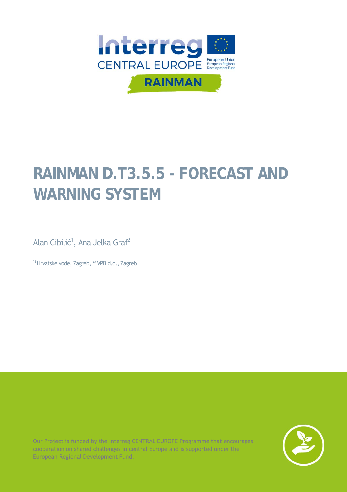

# **RAINMAN D.T3.5.5 - FORECAST AND WARNING SYSTEM**

Alan Cibilić<sup>1</sup>, Ana Jelka Graf<sup>2</sup>

 $1)$  Hrvatske vode, Zagreb,  $2)$  VPB d.d., Zagreb

Our Project is funded by the Interreg CENTRAL EUROPE Programme that encourages cooperation on shared challenges in central Europe and is supported under the European Regional Development Fund.

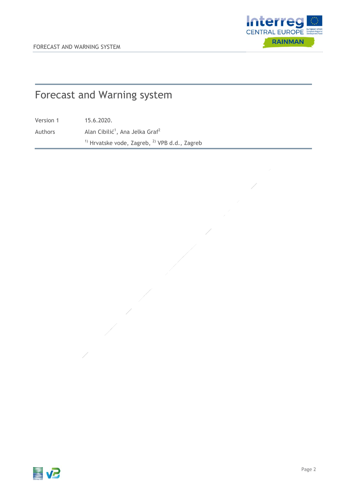

# Forecast and Warning system

Version 1 15.6.2020.

Authors  $\lambda$ Alan Cibilić<sup>1</sup>, Ana Jelka Graf<sup>2</sup>

 $1)$  Hrvatske vode, Zagreb,  $2)$  VPB d.d., Zagreb

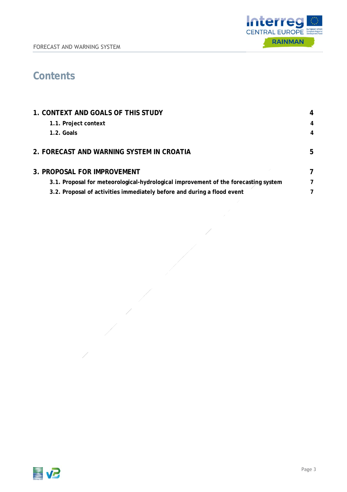

## **Contents**

| 1. CONTEXT AND GOALS OF THIS STUDY                                                  | 4 |
|-------------------------------------------------------------------------------------|---|
| 1.1. Project context                                                                | 4 |
| 1.2. Goals                                                                          | 4 |
|                                                                                     |   |
| 2. FORECAST AND WARNING SYSTEM IN CROATIA                                           | 5 |
| <b>3. PROPOSAL FOR IMPROVEMENT</b>                                                  | 7 |
| 3.1. Proposal for meteorological-hydrological improvement of the forecasting system | 7 |
| 3.2. Proposal of activities immediately before and during a flood event             | 7 |
|                                                                                     |   |

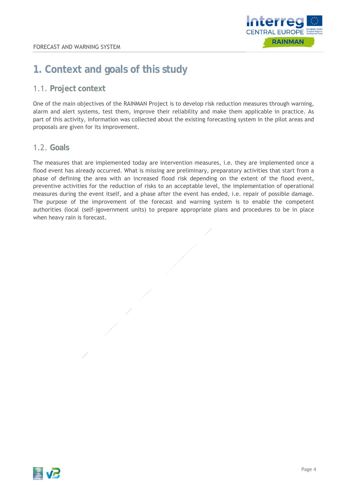

### **1. Context and goals of this study**

### 1.1. **Project context**

One of the main objectives of the RAINMAN Project is to develop risk reduction measures through warning, alarm and alert systems, test them, improve their reliability and make them applicable in practice. As part of this activity, information was collected about the existing forecasting system in the pilot areas and proposals are given for its improvement.

#### 1.2. **Goals**

The measures that are implemented today are intervention measures, i.e. they are implemented once a flood event has already occurred. What is missing are preliminary, preparatory activities that start from a phase of defining the area with an increased flood risk depending on the extent of the flood event, preventive activities for the reduction of risks to an acceptable level, the implementation of operational measures during the event itself, and a phase after the event has ended, i.e. repair of possible damage. The purpose of the improvement of the forecast and warning system is to enable the competent authorities (local (self-)government units) to prepare appropriate plans and procedures to be in place when heavy rain is forecast.

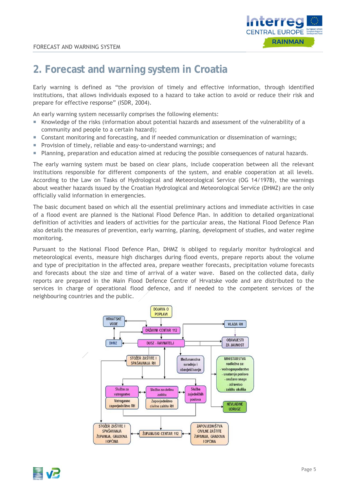

### **2. Forecast and warning system in Croatia**

Early warning is defined as "the provision of timely and effective information, through identified institutions, that allows individuals exposed to a hazard to take action to avoid or reduce their risk and prepare for effective response" (ISDR, 2004).

An early warning system necessarily comprises the following elements:

- Knowledge of the risks (information about potential hazards and assessment of the vulnerability of a community and people to a certain hazard);
- Constant monitoring and forecasting, and if needed communication or dissemination of warnings;
- **Provision of timely, reliable and easy-to-understand warnings; and**
- **Planning, preparation and education aimed at reducing the possible consequences of natural hazards.**

The early warning system must be based on clear plans, include cooperation between all the relevant institutions responsible for different components of the system, and enable cooperation at all levels. According to the Law on Tasks of Hydrological and Meteorological Service (OG 14/1978), the warnings about weather hazards issued by the Croatian Hydrological and Meteorological Service (DHMZ) are the only officially valid information in emergencies.

The basic document based on which all the essential preliminary actions and immediate activities in case of a flood event are planned is the National Flood Defence Plan. In addition to detailed organizational definition of activities and leaders of activities for the particular areas, the National Flood Defence Plan also details the measures of prevention, early warning, planing, development of studies, and water regime monitoring.

Pursuant to the National Flood Defence Plan, DHMZ is obliged to regularly monitor hydrological and meteorological events, measure high discharges during flood events, prepare reports about the volume and type of precipitation in the affected area, prepare weather forecasts, precipitation volume forecasts and forecasts about the size and time of arrival of a water wave. Based on the collected data, daily reports are prepared in the Main Flood Defence Centre of Hrvatske vode and are distributed to the services in charge of operational flood defence, and if needed to the competent services of the neighbouring countries and the public.



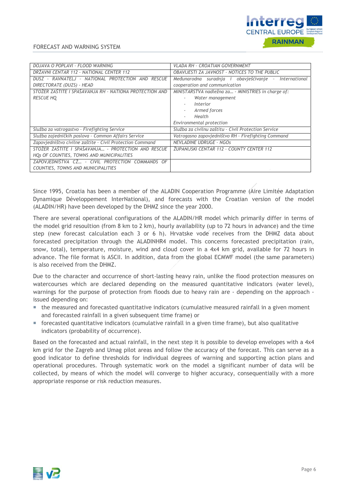

| DOJAVA O POPLAVI - FLOOD WARNING                          | <b>VLADA RH - CROATIAN GOVERNMENT</b>                    |
|-----------------------------------------------------------|----------------------------------------------------------|
| DRŽAVNI CENTAR 112 - NATIONAL CENTER 112                  | OBAVIJESTI ZA JAVNOST - NOTICES TO THE PUBLIC            |
| DUSZ - RAVNATELJ - NATIONAL PROTECTION AND RESCUE         | Međunarodna suradnja i obavješćivanje -<br>International |
| DIRECTORATE (DUZS) - HEAD                                 | cooperation and communication                            |
| STOŽER ZAŠTITE I SPAŠAVANJA RH - NATIONA PROTECTION AND   | MINISTARSTVA nadležna za - MINISTRIES in charge of:      |
| <b>RESCUE HQ</b>                                          | Water management                                         |
|                                                           | Interior                                                 |
|                                                           | Armed forces                                             |
|                                                           | Health                                                   |
|                                                           | Environmental protection                                 |
| Služba za vatrogastvo - Firefighting Service              | Služba za civilnu zaštitu - Civil Protection Service     |
| Služba zajedničkih poslova - Common Affairs Service       | Vatrogasno zapovjedništvo RH - Firefighting Command      |
| Zapovjedništvo civilne zaštite - Civil Protection Command | <b>NEVLADINE UDRUGE - NGOS</b>                           |
| STOŽER ZAŠTITE I SPAŠAVANJA - PROTECTION AND RESCUE       | ŽUPANIJSKI CENTAR 112 - COUNTY CENTER 112                |
| HQs OF COUNTIES, TOWNS AND MUNICIPALITIES                 |                                                          |
| ZAPOVJEDNIŠTVA CŽ - CIVIL PROTECTION COMMANDS OF          |                                                          |
| COUNTIES, TOWNS AND MUNICIPALITIES                        |                                                          |

Since 1995, Croatia has been a member of the ALADIN Cooperation Programme (Aire Limitée Adaptation Dynamique Développement InterNational), and forecasts with the Croatian version of the model (ALADIN/HR) have been developed by the DHMZ since the year 2000.

There are several operational configurations of the ALADIN/HR model which primarily differ in terms of the model grid resoultion (from 8 km to 2 km), hourly availability (up to 72 hours in advance) and the time step (new forecast calculation each 3 or 6 h). Hrvatske vode receives from the DHMZ data about forecasted precipitation through the ALADINHR4 model. This concerns forecasted precipitation (rain, snow, total), temperature, moisture, wind and cloud cover in a 4x4 km grid, available for 72 hours in advance. The file format is ASCII. In addition, data from the global ECMWF model (the same parameters) is also received from the DHMZ.

Due to the character and occurrence of short-lasting heavy rain, unlike the flood protection measures on watercourses which are declared depending on the measured quantitative indicators (water level), warnings for the purpose of protection from floods due to heavy rain are - depending on the approach issued depending on:

- the measured and forecasted quantitative indicators (cumulative measured rainfall in a given moment and forecasted rainfall in a given subsequent time frame) or
- $\blacksquare$  forecasted quantitative indicators (cumulative rainfall in a given time frame), but also qualitative indicators (probability of occurrence).

Based on the forecasted and actual rainfall, in the next step it is possible to develop envelopes with a 4x4 km grid for the Zagreb and Umag pilot areas and follow the accuracy of the forecast. This can serve as a good indicator to define thresholds for individual degrees of warning and supporting action plans and operational procedures. Through systematic work on the model a significant number of data will be collected, by means of which the model will converge to higher accuracy, consequentially with a more appropriate response or risk reduction measures.

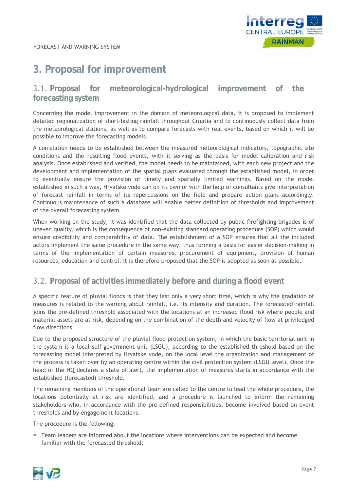

### **3. Proposal for improvement**

### 3.1. **Proposal for meteorological-hydrological improvement of the forecasting system**

Concerning the model improvement in the domain of meteorological data, it is proposed to implement detailed regionalization of short-lasting rainfall throughout Croatia and to continuously collect data from the meteorological stations, as well as to compare forecasts with real events, based on which it will be possible to improve the forecasting models.

A correlation needs to be established between the measured meteorological indicators, topographic site conditions and the resulting flood events, with it serving as the basis for model calibration and risk analysis. Once established and verified, the model needs to be maintained, with each new project and the development and implementation of the spatial plans evaluated through the established model, in order to eventually ensure the provision of timely and spatially limited warnings. Based on the model established in such a way, Hrvatske vode can on its own or with the help of consultants give interpretation of forecast rainfall in terms of its repercussions on the field and prepare action plans accordingly. Continuous maintenance of such a database will enable better definition of thresholds and improvement of the overall forecasting system.

When working on the study, it was identified that the data collected by public firefighting brigades is of uneven quality, which is the consequence of non-existing standard operating procedure (SOP) which would ensure credibility and comparability of data. The establishment of a SOP ensures that all the included actors implement the same procedure in the same way, thus forming a basis for easier decision-making in terms of the implementation of certain measures, procurement of equipment, provision of human resources, education and control. It is therefore proposed that the SOP is adopted as soon as possible.

### 3.2. **Proposal of activities immediately before and during a flood event**

A specific feature of pluvial floods is that they last only a very short time, which is why the gradation of measures is related to the warning about rainfall, i.e. its intensity and duration. The forecasted rainfall joins the pre-defined threshold associated with the locations at an increased flood risk where people and material assets are at risk, depending on the combination of the depth and velocity of flow at priviledged flow directions.

Due to the proposed structure of the pluvial flood protection system, in which the basic territorial unit in the system is a local self-government unit (LSGU), according to the established threshold based on the forecasting model interpreted by Hrvatske vode, on the local level the organization and management of the process is taken over by an operating centre within the civil protection system (LSGU level). Once the head of the HQ declares a state of alert, the implementation of measures starts in accordance with the established (forecasted) threshold.

The remaining members of the operational team are called to the centre to lead the whole procedure, the locations potentially at risk are identified, and a procedure is launched to inform the remaining stakeholders who, in accordance with the pre-defined responsibilities, become involved based on event thresholds and by engagement locations.

The procedure is the following:

 Team leaders are informed about the locations where interventions can be expected and become familiar with the forecasted threshold;

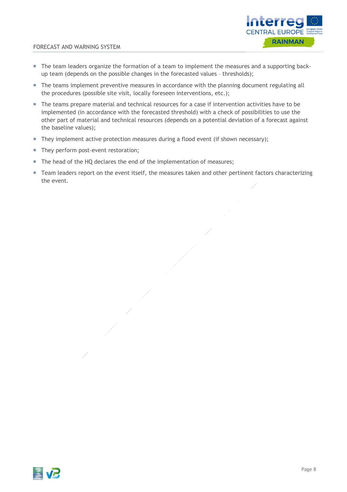

#### FORECAST AND WARNING SYSTEM

- The team leaders organize the formation of a team to implement the measures and a supporting backup team (depends on the possible changes in the forecasted values – thresholds);
- The teams implement preventive measures in accordance with the planning document regulating all the procedures (possible site visit, locally foreseen interventions, etc.);
- The teams prepare material and technical resources for a case if intervention activities have to be implemented (in accordance with the forecasted threshold) with a check of possibilities to use the other part of material and technical resources (depends on a potential deviation of a forecast against the baseline values);
- They implement active protection measures during a flood event (if shown necessary);
- They perform post-event restoration;
- The head of the HQ declares the end of the implementation of measures;
- Team leaders report on the event itself, the measures taken and other pertinent factors characterizing the event.